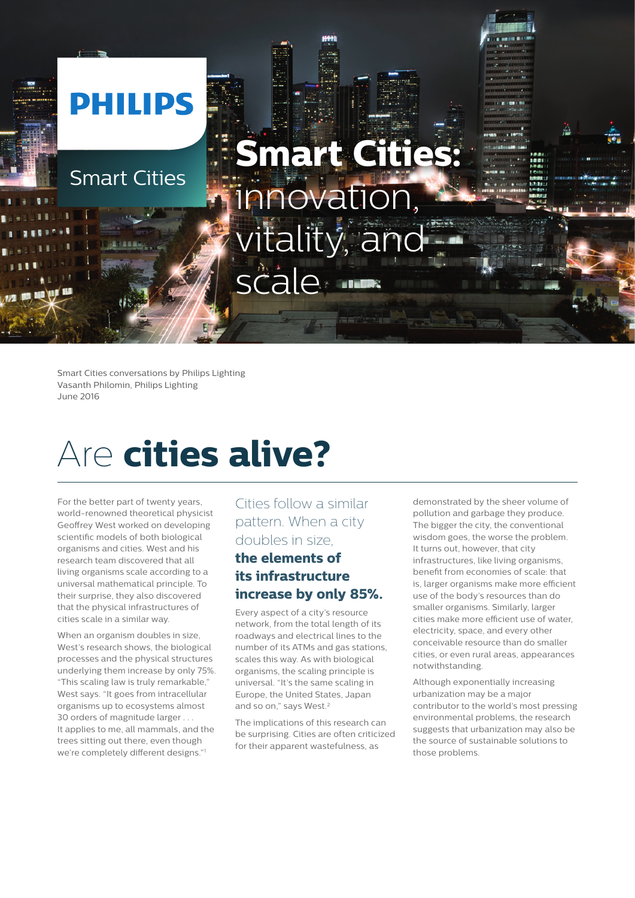# **PHILIPS Smart Cities:** Smart Cities innovation, tality, and scale

Smart Cities conversations by Philips Lighting Vasanth Philomin, Philips Lighting June 2016

### Are **cities alive?**

For the better part of twenty years, world-renowned theoretical physicist Geoffrey West worked on developing scientific models of both biological organisms and cities. West and his research team discovered that all living organisms scale according to a universal mathematical principle. To their surprise, they also discovered that the physical infrastructures of cities scale in a similar way.

When an organism doubles in size, West's research shows, the biological processes and the physical structures underlying them increase by only 75%. "This scaling law is truly remarkable," West says. "It goes from intracellular organisms up to ecosystems almost 30 orders of magnitude larger . It applies to me, all mammals, and the trees sitting out there, even though we're completely different designs."1

#### Cities follow a similar pattern. When a city doubles in size,

#### **the elements of its infrastructure increase by only 85%.**

Every aspect of a city's resource network, from the total length of its roadways and electrical lines to the number of its ATMs and gas stations, scales this way. As with biological organisms, the scaling principle is universal. "It's the same scaling in Europe, the United States, Japan and so on," says West.<sup>2</sup>

The implications of this research can be surprising. Cities are often criticized for their apparent wastefulness, as

demonstrated by the sheer volume of pollution and garbage they produce. The bigger the city, the conventional wisdom goes, the worse the problem. It turns out, however, that city infrastructures, like living organisms, benefit from economies of scale: that is, larger organisms make more efficient use of the body's resources than do smaller organisms. Similarly, larger cities make more efficient use of water, electricity, space, and every other conceivable resource than do smaller cities, or even rural areas, appearances notwithstanding.

Although exponentially increasing urbanization may be a major contributor to the world's most pressing environmental problems, the research suggests that urbanization may also be the source of sustainable solutions to those problems.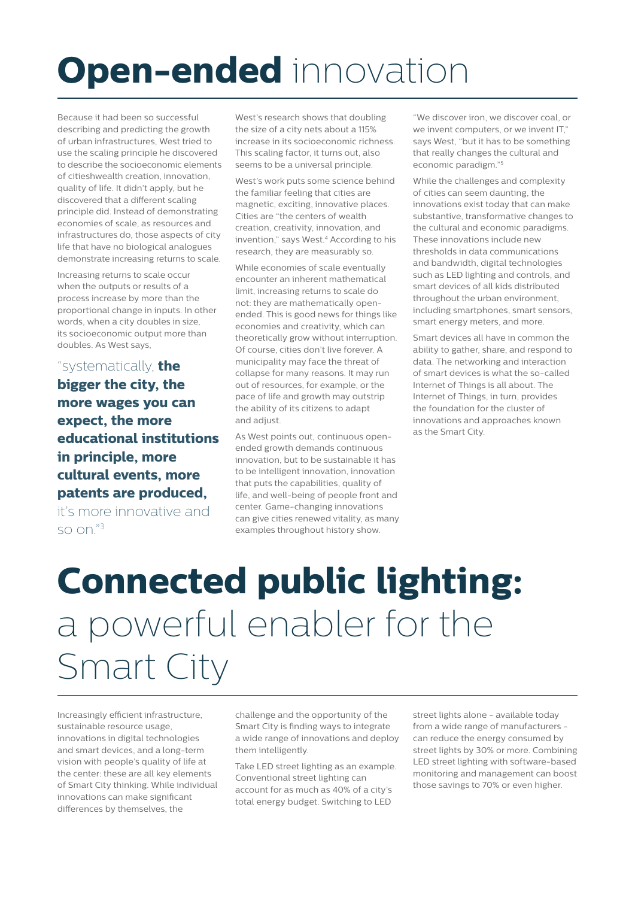## **Open-ended** innovation

Because it had been so successful describing and predicting the growth of urban infrastructures, West tried to use the scaling principle he discovered to describe the socioeconomic elements of citieshwealth creation, innovation, quality of life. It didn't apply, but he discovered that a different scaling principle did. Instead of demonstrating economies of scale, as resources and infrastructures do, those aspects of city life that have no biological analogues demonstrate increasing returns to scale.

Increasing returns to scale occur when the outputs or results of a process increase by more than the proportional change in inputs. In other words, when a city doubles in size, its socioeconomic output more than doubles. As West says,

"systematically, **the bigger the city, the more wages you can expect, the more educational institutions in principle, more cultural events, more patents are produced,**

it's more innovative and so on."3

West's research shows that doubling the size of a city nets about a 115% increase in its socioeconomic richness. This scaling factor, it turns out, also seems to be a universal principle.

West's work puts some science behind the familiar feeling that cities are magnetic, exciting, innovative places. Cities are "the centers of wealth creation, creativity, innovation, and invention," says West.<sup>4</sup> According to his research, they are measurably so.

While economies of scale eventually encounter an inherent mathematical limit, increasing returns to scale do not: they are mathematically openended. This is good news for things like economies and creativity, which can theoretically grow without interruption. Of course, cities don't live forever. A municipality may face the threat of collapse for many reasons. It may run out of resources, for example, or the pace of life and growth may outstrip the ability of its citizens to adapt and adjust.

As West points out, continuous openended growth demands continuous innovation, but to be sustainable it has to be intelligent innovation, innovation that puts the capabilities, quality of life, and well-being of people front and center. Game-changing innovations can give cities renewed vitality, as many examples throughout history show.

"We discover iron, we discover coal, or we invent computers, or we invent IT" says West, "but it has to be something that really changes the cultural and economic paradigm."5

While the challenges and complexity of cities can seem daunting, the innovations exist today that can make substantive, transformative changes to the cultural and economic paradigms. These innovations include new thresholds in data communications and bandwidth, digital technologies such as LED lighting and controls, and smart devices of all kids distributed throughout the urban environment, including smartphones, smart sensors, smart energy meters, and more.

Smart devices all have in common the ability to gather, share, and respond to data. The networking and interaction of smart devices is what the so-called Internet of Things is all about. The Internet of Things, in turn, provides the foundation for the cluster of innovations and approaches known as the Smart City.

### **Connected public lighting:** a powerful enabler for the Smart City

Increasingly efficient infrastructure, sustainable resource usage, innovations in digital technologies and smart devices, and a long-term vision with people's quality of life at the center: these are all key elements of Smart City thinking. While individual innovations can make significant differences by themselves, the

challenge and the opportunity of the Smart City is finding ways to integrate a wide range of innovations and deploy them intelligently.

Take LED street lighting as an example. Conventional street lighting can account for as much as 40% of a city's total energy budget. Switching to LED

street lights alone - available today from a wide range of manufacturers can reduce the energy consumed by street lights by 30% or more. Combining LED street lighting with software-based monitoring and management can boost those savings to 70% or even higher.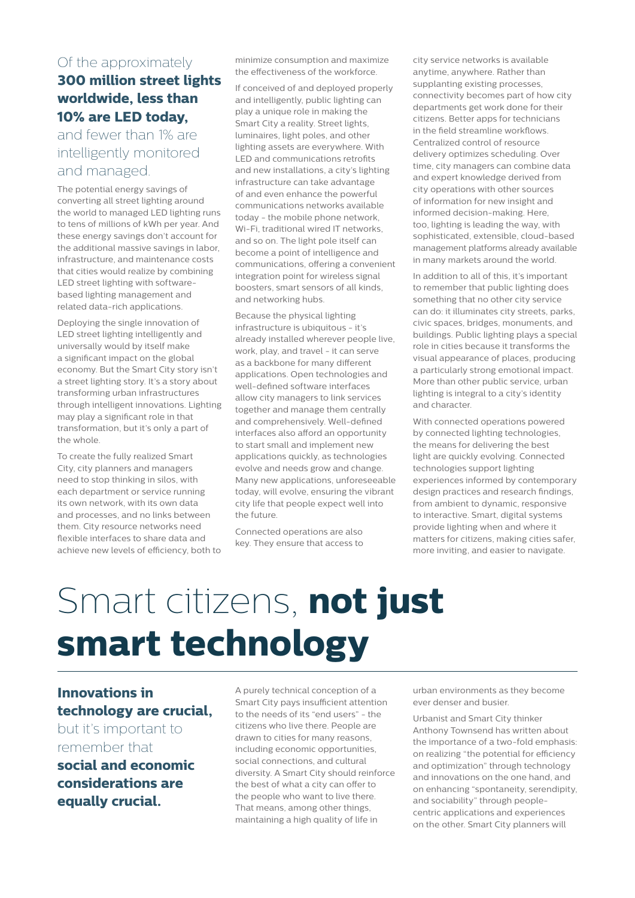#### Of the approximately **300 million street lights worldwide, less than 10% are LED today,**

#### and fewer than 1% are intelligently monitored and managed.

The potential energy savings of converting all street lighting around the world to managed LED lighting runs to tens of millions of kWh per year. And these energy savings don't account for the additional massive savings in labor, infrastructure, and maintenance costs that cities would realize by combining LED street lighting with softwarebased lighting management and related data-rich applications.

Deploying the single innovation of LED street lighting intelligently and universally would by itself make a significant impact on the global economy. But the Smart City story isn't a street lighting story. It's a story about transforming urban infrastructures through intelligent innovations. Lighting may play a significant role in that transformation, but it's only a part of the whole.

To create the fully realized Smart City, city planners and managers need to stop thinking in silos, with each department or service running its own network, with its own data and processes, and no links between them. City resource networks need flexible interfaces to share data and achieve new levels of efficiency, both to minimize consumption and maximize the effectiveness of the workforce.

If conceived of and deployed properly and intelligently, public lighting can play a unique role in making the Smart City a reality. Street lights, luminaires, light poles, and other lighting assets are everywhere. With LED and communications retrofits and new installations, a city's lighting infrastructure can take advantage of and even enhance the powerful communications networks available today - the mobile phone network, Wi-Fi, traditional wired IT networks, and so on. The light pole itself can become a point of intelligence and communications, offering a convenient integration point for wireless signal boosters, smart sensors of all kinds, and networking hubs.

Because the physical lighting infrastructure is ubiquitous - it's already installed wherever people live, work, play, and travel - it can serve as a backbone for many different applications. Open technologies and well-defined software interfaces allow city managers to link services together and manage them centrally and comprehensively. Well-defined interfaces also afford an opportunity to start small and implement new applications quickly, as technologies evolve and needs grow and change. Many new applications, unforeseeable today, will evolve, ensuring the vibrant city life that people expect well into the future.

Connected operations are also key. They ensure that access to city service networks is available anytime, anywhere. Rather than supplanting existing processes, connectivity becomes part of how city departments get work done for their citizens. Better apps for technicians in the field streamline workflows. Centralized control of resource delivery optimizes scheduling. Over time, city managers can combine data and expert knowledge derived from city operations with other sources of information for new insight and informed decision-making. Here, too, lighting is leading the way, with sophisticated, extensible, cloud-based management platforms already available in many markets around the world.

In addition to all of this, it's important to remember that public lighting does something that no other city service can do: it illuminates city streets, parks, civic spaces, bridges, monuments, and buildings. Public lighting plays a special role in cities because it transforms the visual appearance of places, producing a particularly strong emotional impact. More than other public service, urban lighting is integral to a city's identity and character.

With connected operations powered by connected lighting technologies, the means for delivering the best light are quickly evolving. Connected technologies support lighting experiences informed by contemporary design practices and research findings, from ambient to dynamic, responsive to interactive. Smart, digital systems provide lighting when and where it matters for citizens, making cities safer, more inviting, and easier to navigate.

## Smart citizens, **not just smart technology**

#### **Innovations in technology are crucial,**

but it's important to remember that

**social and economic considerations are equally crucial.**

A purely technical conception of a Smart City pays insufficient attention to the needs of its "end users" - the citizens who live there. People are drawn to cities for many reasons, including economic opportunities, social connections, and cultural diversity. A Smart City should reinforce the best of what a city can offer to the people who want to live there. That means, among other things, maintaining a high quality of life in

urban environments as they become ever denser and busier.

Urbanist and Smart City thinker Anthony Townsend has written about the importance of a two-fold emphasis: on realizing "the potential for efficiency and optimization" through technology and innovations on the one hand, and on enhancing "spontaneity, serendipity, and sociability" through peoplecentric applications and experiences on the other. Smart City planners will